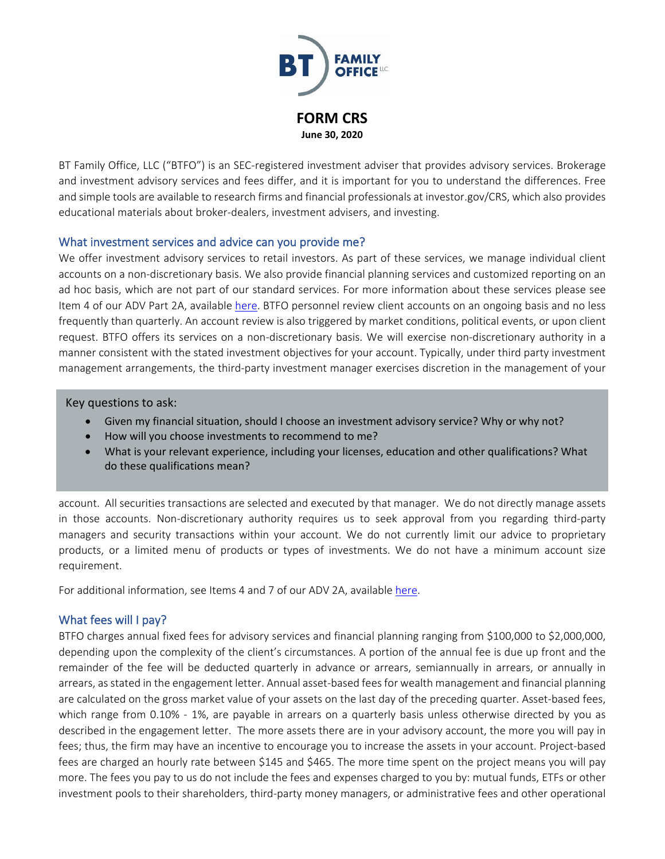

BT Family Office, LLC ("BTFO") is an SEC-registered investment adviser that provides advisory services. Brokerage and investment advisory services and fees differ, and it is important for you to understand the differences. Free and simple tools are available to research firms and financial professionals at investor.gov/CRS, which also provides educational materials about broker-dealers, investment advisers, and investing.

#### What investment services and advice can you provide me?

We offer investment advisory services to retail investors. As part of these services, we manage individual client accounts on a non-discretionary basis. We also provide financial planning services and customized reporting on an ad hoc basis, which are not part of our standard services. For more information about these services please see Item 4 of our ADV Part 2A, available [here.](https://files.adviserinfo.sec.gov/IAPD/Content/Common/crd_iapd_Brochure.aspx?BRCHR_VRSN_ID=612028) BTFO personnel review client accounts on an ongoing basis and no less frequently than quarterly. An account review is also triggered by market conditions, political events, or upon client request. BTFO offers its services on a non-discretionary basis. We will exercise non-discretionary authority in a manner consistent with the stated investment objectives for your account. Typically, under third party investment management arrangements, the third-party investment manager exercises discretion in the management of your

Key questions to ask:

- Given my financial situation, should I choose an investment advisory service? Why or why not?
- How will you choose investments to recommend to me?
- What is your relevant experience, including your licenses, education and other qualifications? What do these qualifications mean?

account. All securities transactions are selected and executed by that manager. We do not directly manage assets in those accounts. Non-discretionary authority requires us to seek approval from you regarding third-party managers and security transactions within your account. We do not currently limit our advice to proprietary products, or a limited menu of products or types of investments. We do not have a minimum account size requirement.

For additional information, see Items 4 and 7 of our ADV 2A, available [here.](https://files.adviserinfo.sec.gov/IAPD/Content/Common/crd_iapd_Brochure.aspx?BRCHR_VRSN_ID=612028)

## What fees will I pay?

BTFO charges annual fixed fees for advisory services and financial planning ranging from \$100,000 to \$2,000,000, depending upon the complexity of the client's circumstances. A portion of the annual fee is due up front and the remainder of the fee will be deducted quarterly in advance or arrears, semiannually in arrears, or annually in arrears, as stated in the engagement letter. Annual asset-based fees for wealth management and financial planning are calculated on the gross market value of your assets on the last day of the preceding quarter. Asset-based fees, which range from 0.10% - 1%, are payable in arrears on a quarterly basis unless otherwise directed by you as described in the engagement letter. The more assets there are in your advisory account, the more you will pay in fees; thus, the firm may have an incentive to encourage you to increase the assets in your account. Project-based fees are charged an hourly rate between \$145 and \$465. The more time spent on the project means you will pay more. The fees you pay to us do not include the fees and expenses charged to you by: mutual funds, ETFs or other investment pools to their shareholders, third-party money managers, or administrative fees and other operational